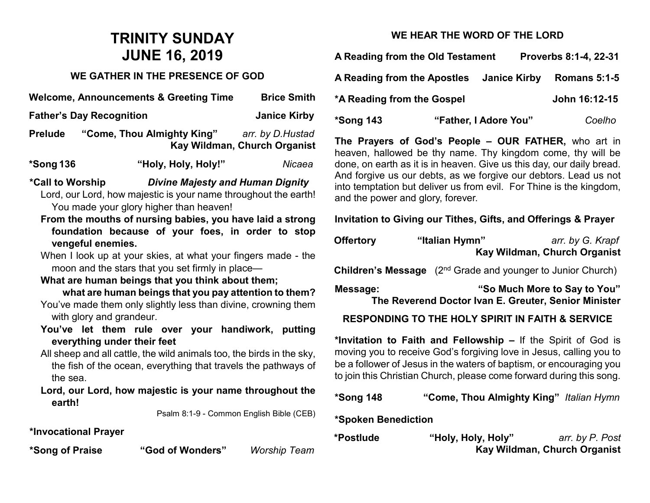# **TRINITY SUNDAY JUNE 16, 2019**

# **WE GATHER IN THE PRESENCE OF GOD**

| <b>Welcome, Announcements &amp; Greeting Time</b> |                            | <b>Brice Smith</b>           |  |
|---------------------------------------------------|----------------------------|------------------------------|--|
| <b>Father's Day Recognition</b>                   |                            | <b>Janice Kirby</b>          |  |
| <b>Prelude</b>                                    | "Come, Thou Almighty King" | arr. by D.Hustad             |  |
|                                                   |                            | Kay Wildman, Church Organist |  |

| *Song 136 | "Holy, Holy, Holy!" | Nicaea |
|-----------|---------------------|--------|
|-----------|---------------------|--------|

**\*Call to Worship** *Divine Majesty and Human Dignity* Lord, our Lord, how majestic is your name throughout the earth! You made your glory higher than heaven!

**From the mouths of nursing babies, you have laid a strong foundation because of your foes, in order to stop vengeful enemies.**

When I look up at your skies, at what your fingers made - the moon and the stars that you set firmly in place—

#### **What are human beings that you think about them;**

 **what are human beings that you pay attention to them?** You've made them only slightly less than divine, crowning them with glory and grandeur.

- **You've let them rule over your handiwork, putting everything under their feet**
- All sheep and all cattle, the wild animals too, the birds in the sky, the fish of the ocean, everything that travels the pathways of the sea.

**Lord, our Lord, how majestic is your name throughout the earth!**

Psalm 8:1-9 - Common English Bible (CEB)

**\*Invocational Prayer** 

**\*Song of Praise "God of Wonders"** *Worship Team*

# **WE HEAR THE WORD OF THE LORD**

**A Reading from the Old Testament Proverbs 8:1-4, 22-31**

| <b>A Reading from the Apostles</b> | Janice Kirby  | <b>Romans 5:1-5</b> |
|------------------------------------|---------------|---------------------|
| *A Reading from the Gospel         | John 16:12-15 |                     |
|                                    |               |                     |

**\*Song 143 "Father, I Adore You"** *Coelho*

**The Prayers of God's People – OUR FATHER,** who art in heaven, hallowed be thy name. Thy kingdom come, thy will be done, on earth as it is in heaven. Give us this day, our daily bread. And forgive us our debts, as we forgive our debtors. Lead us not into temptation but deliver us from evil. For Thine is the kingdom, and the power and glory, forever.

### **Invitation to Giving our Tithes, Gifts, and Offerings & Prayer**

| <b>Offertory</b> | "Italian Hymn" | arr. by G. Krapf             |
|------------------|----------------|------------------------------|
|                  |                | Kay Wildman, Church Organist |

**Children's Message** (2<sup>nd</sup> Grade and younger to Junior Church)

**Message: "So Much More to Say to You" The Reverend Doctor Ivan E. Greuter, Senior Minister**

### **RESPONDING TO THE HOLY SPIRIT IN FAITH & SERVICE**

**\*Invitation to Faith and Fellowship –** If the Spirit of God is moving you to receive God's forgiving love in Jesus, calling you to be a follower of Jesus in the waters of baptism, or encouraging you to join this Christian Church, please come forward during this song.

**\*Song 148 "Come, Thou Almighty King"** *Italian Hymn*

#### **\*Spoken Benediction**

| *Postlude | "Holy, Holy, Holy" | arr. by P. Post              |
|-----------|--------------------|------------------------------|
|           |                    | Kay Wildman, Church Organist |